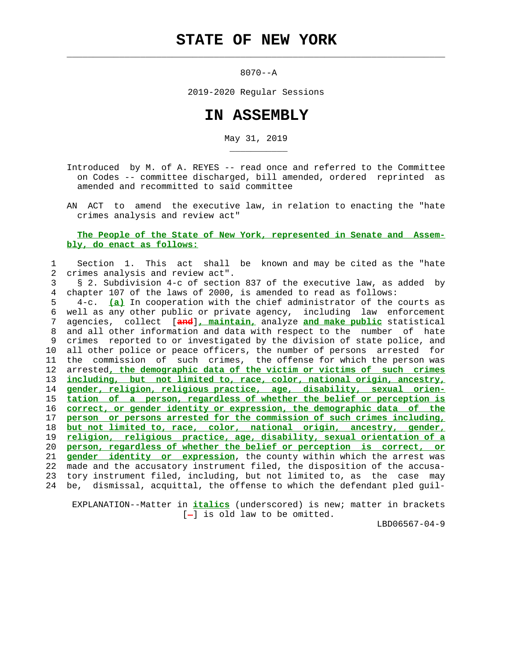$\mathcal{L}_\text{max} = \frac{1}{2} \sum_{i=1}^{n} \frac{1}{2} \sum_{i=1}^{n} \frac{1}{2} \sum_{i=1}^{n} \frac{1}{2} \sum_{i=1}^{n} \frac{1}{2} \sum_{i=1}^{n} \frac{1}{2} \sum_{i=1}^{n} \frac{1}{2} \sum_{i=1}^{n} \frac{1}{2} \sum_{i=1}^{n} \frac{1}{2} \sum_{i=1}^{n} \frac{1}{2} \sum_{i=1}^{n} \frac{1}{2} \sum_{i=1}^{n} \frac{1}{2} \sum_{i=1}^{n} \frac{1$ 

\_\_\_\_\_\_\_\_\_\_\_

8070--A

2019-2020 Regular Sessions

## **IN ASSEMBLY**

May 31, 2019

 Introduced by M. of A. REYES -- read once and referred to the Committee on Codes -- committee discharged, bill amended, ordered reprinted as amended and recommitted to said committee

 AN ACT to amend the executive law, in relation to enacting the "hate crimes analysis and review act"

 **The People of the State of New York, represented in Senate and Assem bly, do enact as follows:**

## 1 Section 1. This act shall be known and may be cited as the "hate 2 crimes analysis and review act".

 3 § 2. Subdivision 4-c of section 837 of the executive law, as added by 4 chapter 107 of the laws of 2000, is amended to read as follows:

 5 4-c. **(a)** In cooperation with the chief administrator of the courts as 6 well as any other public or private agency, including law enforcement 7 agencies, collect [**and**]**, maintain,** analyze **and make public** statistical 8 and all other information and data with respect to the number of hate 9 crimes reported to or investigated by the division of state police, and 10 all other police or peace officers, the number of persons arrested for 11 the commission of such crimes, the offense for which the person was 12 arrested**, the demographic data of the victim or victims of such crimes** 13 **including, but not limited to, race, color, national origin, ancestry,** 14 **gender, religion, religious practice, age, disability, sexual orien-** 15 **tation of a person, regardless of whether the belief or perception is** 16 **correct, or gender identity or expression, the demographic data of the** 17 **person or persons arrested for the commission of such crimes including,** 18 **but not limited to, race, color, national origin, ancestry, gender,** 19 **religion, religious practice, age, disability, sexual orientation of a** 20 **person, regardless of whether the belief or perception is correct, or** 21 **gender identity or expression**, the county within which the arrest was 22 made and the accusatory instrument filed, the disposition of the accusa- 23 tory instrument filed, including, but not limited to, as the case may 24 be, dismissal, acquittal, the offense to which the defendant pled guil-

 EXPLANATION--Matter in **italics** (underscored) is new; matter in brackets  $[-]$  is old law to be omitted.

LBD06567-04-9